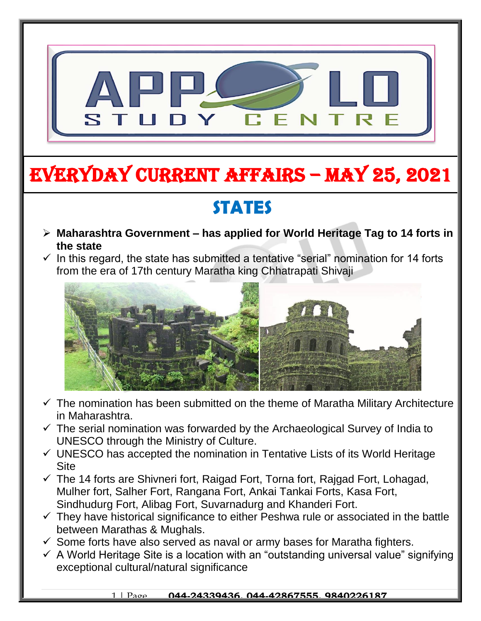

# EVERYDAY CURRENT AFFAIRS – MAY 25, 2021

### **STATES**

-

- **Maharashtra Government – has applied for World Heritage Tag to 14 forts in the state**
- $\checkmark$  In this regard, the state has submitted a tentative "serial" nomination for 14 forts from the era of 17th century Maratha king Chhatrapati Shivaji



- $\checkmark$  The nomination has been submitted on the theme of Maratha Military Architecture in Maharashtra.
- $\checkmark$  The serial nomination was forwarded by the Archaeological Survey of India to UNESCO through the Ministry of Culture.
- $\checkmark$  UNESCO has accepted the nomination in Tentative Lists of its World Heritage **Site**
- $\checkmark$  The 14 forts are Shivneri fort, Raigad Fort, Torna fort, Raigad Fort, Lohagad, Mulher fort, Salher Fort, Rangana Fort, Ankai Tankai Forts, Kasa Fort, Sindhudurg Fort, Alibag Fort, Suvarnadurg and Khanderi Fort.
- $\checkmark$  They have historical significance to either Peshwa rule or associated in the battle between Marathas & Mughals.
- $\checkmark$  Some forts have also served as naval or army bases for Maratha fighters.
- $\checkmark$  A World Heritage Site is a location with an "outstanding universal value" signifying exceptional cultural/natural significance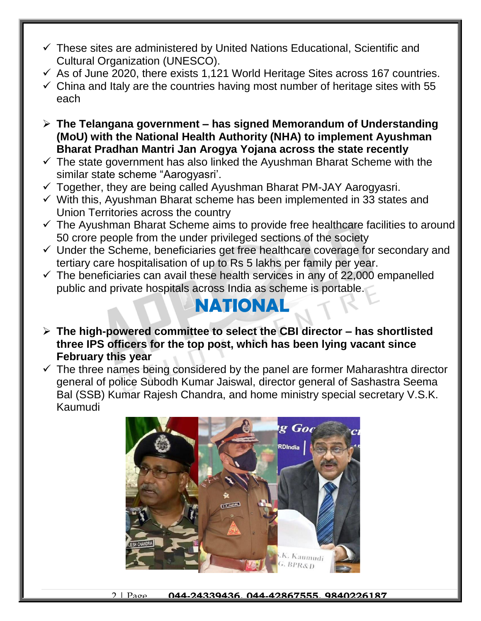- $\checkmark$  These sites are administered by United Nations Educational, Scientific and Cultural Organization (UNESCO).
- $\checkmark$  As of June 2020, there exists 1,121 World Heritage Sites across 167 countries.
- $\checkmark$  China and Italy are the countries having most number of heritage sites with 55 each
- **The Telangana government – has signed Memorandum of Understanding (MoU) with the National Health Authority (NHA) to implement Ayushman Bharat Pradhan Mantri Jan Arogya Yojana across the state recently**
- $\checkmark$  The state government has also linked the Ayushman Bharat Scheme with the similar state scheme "Aarogyasri'.
- $\checkmark$  Together, they are being called Ayushman Bharat PM-JAY Aarogyasri.
- $\checkmark$  With this, Ayushman Bharat scheme has been implemented in 33 states and Union Territories across the country
- $\checkmark$  The Ayushman Bharat Scheme aims to provide free healthcare facilities to around 50 crore people from the under privileged sections of the society
- $\checkmark$  Under the Scheme, beneficiaries get free healthcare coverage for secondary and tertiary care hospitalisation of up to Rs 5 lakhs per family per year.
- $\checkmark$  The beneficiaries can avail these health services in any of 22,000 empanelled public and private hospitals across India as scheme is portable.

#### **NATIONAL**

- **The high-powered committee to select the CBI director – has shortlisted three IPS officers for the top post, which has been lying vacant since February this year**
- $\checkmark$  The three names being considered by the panel are former Maharashtra director general of police Subodh Kumar Jaiswal, director general of Sashastra Seema Bal (SSB) Kumar Rajesh Chandra, and home ministry special secretary V.S.K. Kaumudi



2 | Page **044-24339436, 044-42867555, 9840226187**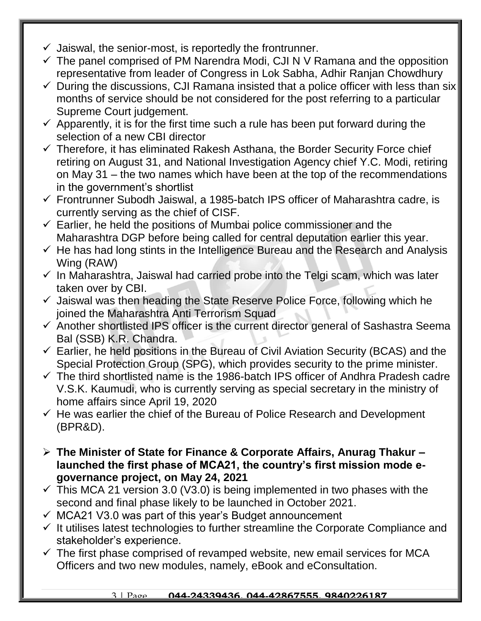- $\checkmark$  Jaiswal, the senior-most, is reportedly the frontrunner.
- $\checkmark$  The panel comprised of PM Narendra Modi, CJI N V Ramana and the opposition representative from leader of Congress in Lok Sabha, Adhir Ranjan Chowdhury
- $\checkmark$  During the discussions, CJI Ramana insisted that a police officer with less than six months of service should be not considered for the post referring to a particular Supreme Court judgement.
- $\checkmark$  Apparently, it is for the first time such a rule has been put forward during the selection of a new CBI director
- $\checkmark$  Therefore, it has eliminated Rakesh Asthana, the Border Security Force chief retiring on August 31, and National Investigation Agency chief Y.C. Modi, retiring on May 31 – the two names which have been at the top of the recommendations in the government's shortlist
- Frontrunner Subodh Jaiswal, a 1985-batch IPS officer of Maharashtra cadre, is currently serving as the chief of CISF.
- $\checkmark$  Earlier, he held the positions of Mumbai police commissioner and the Maharashtra DGP before being called for central deputation earlier this year.
- $\checkmark$  He has had long stints in the Intelligence Bureau and the Research and Analysis Wing (RAW)
- $\checkmark$  In Maharashtra, Jaiswal had carried probe into the Telgi scam, which was later taken over by CBI.
- $\checkmark$  Jaiswal was then heading the State Reserve Police Force, following which he joined the Maharashtra Anti Terrorism Squad
- $\checkmark$  Another shortlisted IPS officer is the current director general of Sashastra Seema Bal (SSB) K.R. Chandra.
- $\checkmark$  Earlier, he held positions in the Bureau of Civil Aviation Security (BCAS) and the Special Protection Group (SPG), which provides security to the prime minister.
- $\checkmark$  The third shortlisted name is the 1986-batch IPS officer of Andhra Pradesh cadre V.S.K. Kaumudi, who is currently serving as special secretary in the ministry of home affairs since April 19, 2020
- $\checkmark$  He was earlier the chief of the Bureau of Police Research and Development (BPR&D).
- **The Minister of State for Finance & Corporate Affairs, Anurag Thakur – launched the first phase of MCA21, the country's first mission mode egovernance project, on May 24, 2021**
- $\checkmark$  This MCA 21 version 3.0 (V3.0) is being implemented in two phases with the second and final phase likely to be launched in October 2021.
- $\checkmark$  MCA21 V3.0 was part of this year's Budget announcement
- $\checkmark$  It utilises latest technologies to further streamline the Corporate Compliance and stakeholder's experience.
- $\checkmark$  The first phase comprised of revamped website, new email services for MCA Officers and two new modules, namely, eBook and eConsultation.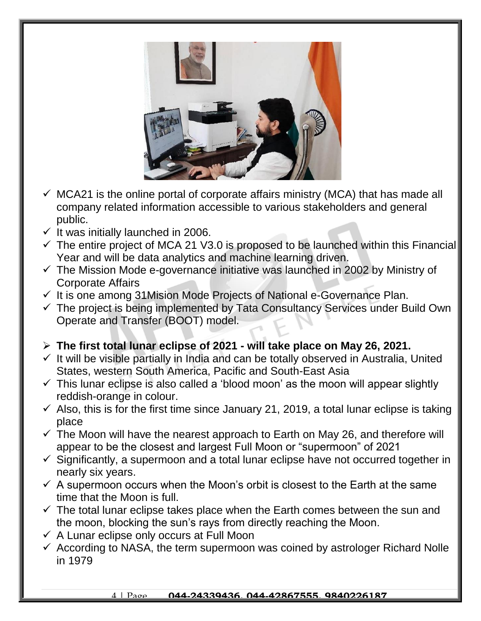

- $\checkmark$  MCA21 is the online portal of corporate affairs ministry (MCA) that has made all company related information accessible to various stakeholders and general public.
- $\checkmark$  It was initially launched in 2006.
- $\checkmark$  The entire project of MCA 21 V3.0 is proposed to be launched within this Financial Year and will be data analytics and machine learning driven.
- $\checkmark$  The Mission Mode e-governance initiative was launched in 2002 by Ministry of Corporate Affairs
- $\checkmark$  It is one among 31Mision Mode Projects of National e-Governance Plan.
- $\checkmark$  The project is being implemented by Tata Consultancy Services under Build Own Operate and Transfer (BOOT) model.
- **The first total lunar eclipse of 2021 - will take place on May 26, 2021.**
- $\checkmark$  It will be visible partially in India and can be totally observed in Australia, United States, western South America, Pacific and South-East Asia
- $\checkmark$  This lunar eclipse is also called a 'blood moon' as the moon will appear slightly reddish-orange in colour.
- $\checkmark$  Also, this is for the first time since January 21, 2019, a total lunar eclipse is taking place
- $\checkmark$  The Moon will have the nearest approach to Earth on May 26, and therefore will appear to be the closest and largest Full Moon or "supermoon" of 2021
- $\checkmark$  Significantly, a supermoon and a total lunar eclipse have not occurred together in nearly six years.
- $\checkmark$  A supermoon occurs when the Moon's orbit is closest to the Earth at the same time that the Moon is full.
- $\checkmark$  The total lunar eclipse takes place when the Earth comes between the sun and the moon, blocking the sun's rays from directly reaching the Moon.
- $\checkmark$  A Lunar eclipse only occurs at Full Moon
- $\checkmark$  According to NASA, the term supermoon was coined by astrologer Richard Nolle in 1979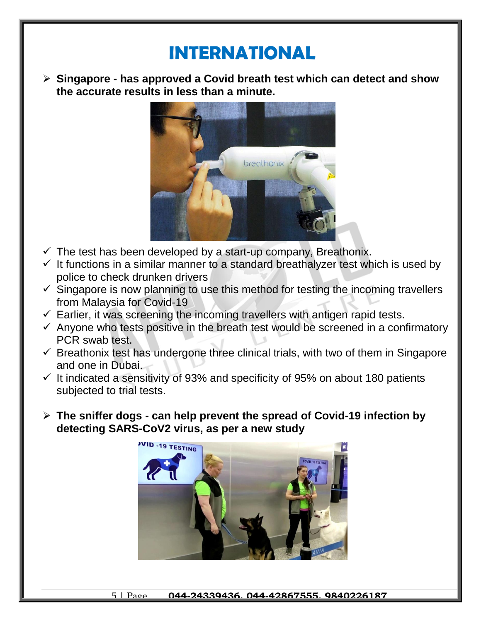#### **INTERNATIONAL**

 **Singapore - has approved a Covid breath test which can detect and show the accurate results in less than a minute.**



- $\checkmark$  The test has been developed by a start-up company, Breathonix.
- $\checkmark$  It functions in a similar manner to a standard breathalyzer test which is used by police to check drunken drivers
- $\checkmark$  Singapore is now planning to use this method for testing the incoming travellers from Malaysia for Covid-19
- $\checkmark$  Earlier, it was screening the incoming travellers with antigen rapid tests.
- $\checkmark$  Anyone who tests positive in the breath test would be screened in a confirmatory PCR swab test.
- $\checkmark$  Breathonix test has undergone three clinical trials, with two of them in Singapore and one in Dubai.
- $\checkmark$  It indicated a sensitivity of 93% and specificity of 95% on about 180 patients subjected to trial tests.
- **The sniffer dogs - can help prevent the spread of Covid-19 infection by detecting SARS-CoV2 virus, as per a new study**

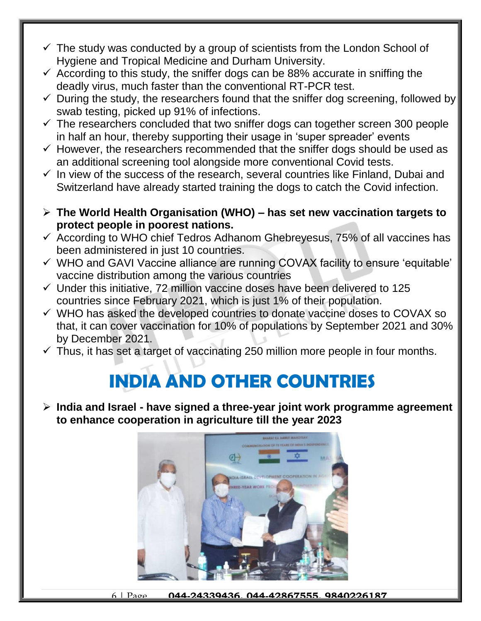- $\checkmark$  The study was conducted by a group of scientists from the London School of Hygiene and Tropical Medicine and Durham University.
- $\checkmark$  According to this study, the sniffer dogs can be 88% accurate in sniffing the deadly virus, much faster than the conventional RT-PCR test.
- $\checkmark$  During the study, the researchers found that the sniffer dog screening, followed by swab testing, picked up 91% of infections.
- $\checkmark$  The researchers concluded that two sniffer dogs can together screen 300 people in half an hour, thereby supporting their usage in 'super spreader' events
- $\checkmark$  However, the researchers recommended that the sniffer dogs should be used as an additional screening tool alongside more conventional Covid tests.
- $\checkmark$  In view of the success of the research, several countries like Finland, Dubai and Switzerland have already started training the dogs to catch the Covid infection.
- **The World Health Organisation (WHO) – has set new vaccination targets to protect people in poorest nations.**
- $\checkmark$  According to WHO chief Tedros Adhanom Ghebreyesus, 75% of all vaccines has been administered in just 10 countries.
- $\checkmark$  WHO and GAVI Vaccine alliance are running COVAX facility to ensure 'equitable' vaccine distribution among the various countries
- $\checkmark$  Under this initiative, 72 million vaccine doses have been delivered to 125 countries since February 2021, which is just 1% of their population.
- $\checkmark$  WHO has asked the developed countries to donate vaccine doses to COVAX so that, it can cover vaccination for 10% of populations by September 2021 and 30% by December 2021.
- $\checkmark$  Thus, it has set a target of vaccinating 250 million more people in four months.

### **INDIA AND OTHER COUNTRIES**

 **India and Israel - have signed a three-year joint work programme agreement to enhance cooperation in agriculture till the year 2023**



6 | Page **044-24339436, 044-42867555, 9840226187**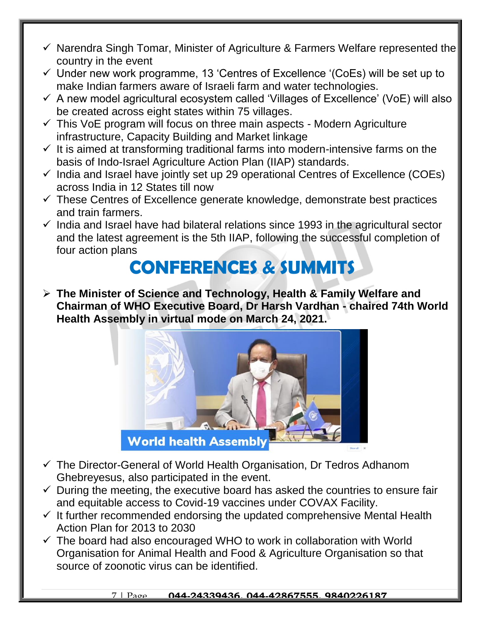- $\checkmark$  Narendra Singh Tomar, Minister of Agriculture & Farmers Welfare represented the country in the event
- $\checkmark$  Under new work programme, 13 'Centres of Excellence '(CoEs) will be set up to make Indian farmers aware of Israeli farm and water technologies.
- $\checkmark$  A new model agricultural ecosystem called 'Villages of Excellence' (VoE) will also be created across eight states within 75 villages.
- $\checkmark$  This VoE program will focus on three main aspects Modern Agriculture infrastructure, Capacity Building and Market linkage
- $\checkmark$  It is aimed at transforming traditional farms into modern-intensive farms on the basis of Indo-Israel Agriculture Action Plan (IIAP) standards.
- $\checkmark$  India and Israel have jointly set up 29 operational Centres of Excellence (COEs) across India in 12 States till now
- $\checkmark$  These Centres of Excellence generate knowledge, demonstrate best practices and train farmers.
- $\checkmark$  India and Israel have had bilateral relations since 1993 in the agricultural sector and the latest agreement is the 5th IIAP, following the successful completion of four action plans

### **CONFERENCES & SUMMITS**

 **The Minister of Science and Technology, Health & Family Welfare and Chairman of WHO Executive Board, Dr Harsh Vardhan - chaired 74th World Health Assembly in virtual mode on March 24, 2021.**



- $\checkmark$  The Director-General of World Health Organisation, Dr Tedros Adhanom Ghebreyesus, also participated in the event.
- $\checkmark$  During the meeting, the executive board has asked the countries to ensure fair and equitable access to Covid-19 vaccines under COVAX Facility.
- $\checkmark$  It further recommended endorsing the updated comprehensive Mental Health Action Plan for 2013 to 2030
- $\checkmark$  The board had also encouraged WHO to work in collaboration with World Organisation for Animal Health and Food & Agriculture Organisation so that source of zoonotic virus can be identified.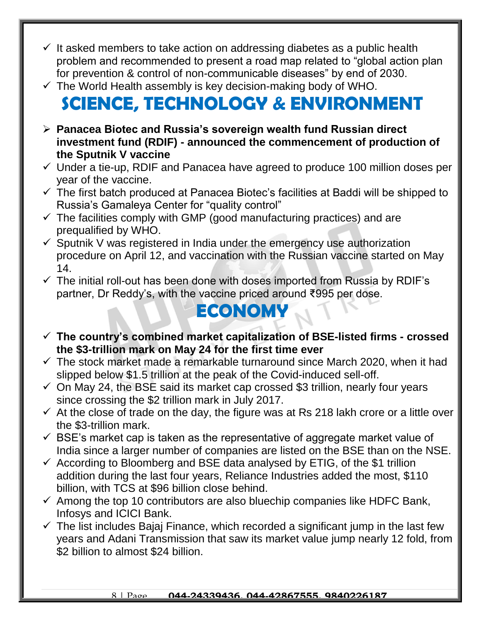- $\checkmark$  It asked members to take action on addressing diabetes as a public health problem and recommended to present a road map related to "global action plan for prevention & control of non-communicable diseases" by end of 2030.
- $\checkmark$  The World Health assembly is key decision-making body of WHO.

# **SCIENCE, TECHNOLOGY & ENVIRONMENT**

- **Panacea Biotec and Russia's sovereign wealth fund Russian direct investment fund (RDIF) - announced the commencement of production of the Sputnik V vaccine**
- $\checkmark$  Under a tie-up, RDIF and Panacea have agreed to produce 100 million doses per year of the vaccine.
- $\checkmark$  The first batch produced at Panacea Biotec's facilities at Baddi will be shipped to Russia's Gamaleya Center for "quality control"
- $\checkmark$  The facilities comply with GMP (good manufacturing practices) and are prequalified by WHO.
- $\checkmark$  Sputnik V was registered in India under the emergency use authorization procedure on April 12, and vaccination with the Russian vaccine started on May 14.
- $\checkmark$  The initial roll-out has been done with doses imported from Russia by RDIF's partner, Dr Reddy's, with the vaccine priced around ₹995 per dose.

## **ECONOMY**

- **The country's combined market capitalization of BSE-listed firms - crossed the \$3-trillion mark on May 24 for the first time ever**
- $\checkmark$  The stock market made a remarkable turnaround since March 2020, when it had slipped below \$1.5 trillion at the peak of the Covid-induced sell-off.
- $\checkmark$  On May 24, the BSE said its market cap crossed \$3 trillion, nearly four years since crossing the \$2 trillion mark in July 2017.
- $\checkmark$  At the close of trade on the day, the figure was at Rs 218 lakh crore or a little over the \$3-trillion mark.
- $\checkmark$  BSE's market cap is taken as the representative of aggregate market value of India since a larger number of companies are listed on the BSE than on the NSE.
- $\checkmark$  According to Bloomberg and BSE data analysed by ETIG, of the \$1 trillion addition during the last four years, Reliance Industries added the most, \$110 billion, with TCS at \$96 billion close behind.
- $\checkmark$  Among the top 10 contributors are also bluechip companies like HDFC Bank, Infosys and ICICI Bank.
- $\checkmark$  The list includes Bajaj Finance, which recorded a significant jump in the last few years and Adani Transmission that saw its market value jump nearly 12 fold, from \$2 billion to almost \$24 billion.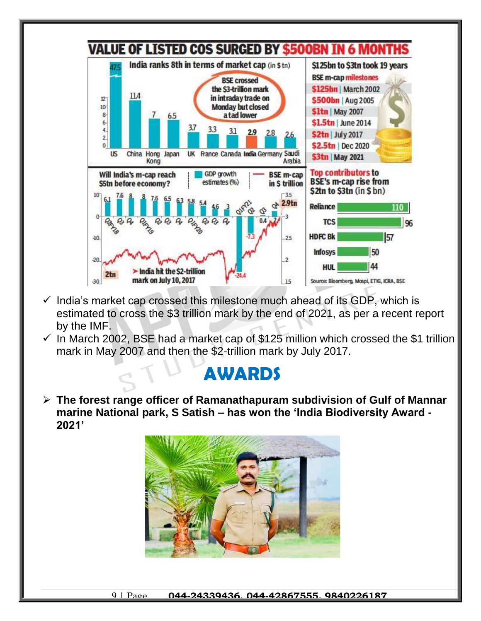

- $\checkmark$  India's market cap crossed this milestone much ahead of its GDP, which is estimated to cross the \$3 trillion mark by the end of 2021, as per a recent report by the IMF.
- $\checkmark$  In March 2002, BSE had a market cap of \$125 million which crossed the \$1 trillion mark in May 2007 and then the \$2-trillion mark by July 2017.

#### **AWARDS**

 **The forest range officer of Ramanathapuram subdivision of Gulf of Mannar marine National park, S Satish – has won the 'India Biodiversity Award - 2021'**